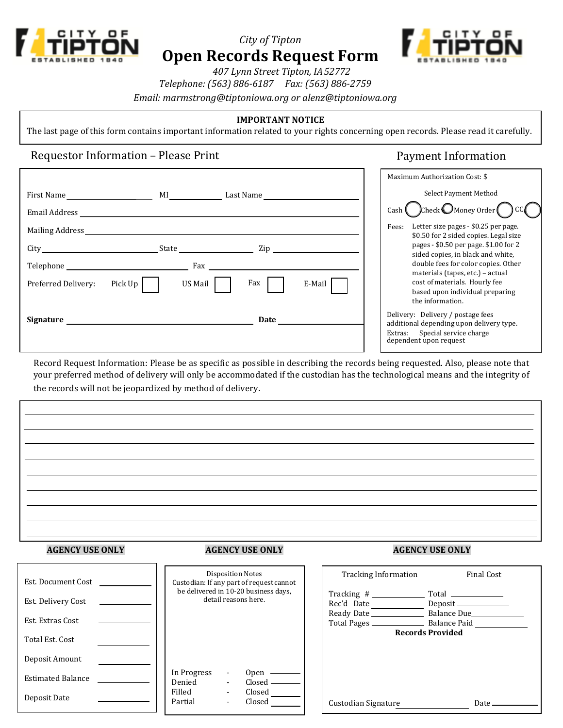

# *City of Tipton* **Open Records Request Form**



 *407 Lynn Street Tipton, IA 52772*

*Telephone: (563) 886-6187 Fax: (563) 886-2759*

*Email: [marmstrong@tiptoniowa.org](mailto:tammi.dillavou@mitchellville.org) or alenz@tiptoniowa.org*

## **IMPORTANT NOTICE**

The last page of this form contains important information related to your rights concerning open records. Please read it carefully.

## Requestor Information – Please Print Payment Information

|                                                                                                                                                                                                                                |                          | Maximum Authorization Cost: \$                                                                                                            |
|--------------------------------------------------------------------------------------------------------------------------------------------------------------------------------------------------------------------------------|--------------------------|-------------------------------------------------------------------------------------------------------------------------------------------|
| First Name                                                                                                                                                                                                                     | MI<br>Last Name          | Select Payment Method                                                                                                                     |
| Email Address                                                                                                                                                                                                                  |                          | $\int$ Check $\bigcirc$ Money Order $\bigcirc$<br>Cash I                                                                                  |
| Mailing Address                                                                                                                                                                                                                |                          | Letter size pages - \$0.25 per page.<br>Fees:<br>\$0.50 for 2 sided copies. Legal size                                                    |
|                                                                                                                                                                                                                                | Zip<br>State             | pages - \$0.50 per page. \$1.00 for 2<br>sided copies, in black and white,                                                                |
| Telephone Telephone                                                                                                                                                                                                            | Fax                      | double fees for color copies. Other                                                                                                       |
| Pick Up<br>Preferred Delivery:                                                                                                                                                                                                 | US Mail<br>Fax<br>E-Mail | materials (tapes, etc.) - actual<br>cost of materials. Hourly fee<br>based upon individual preparing<br>the information.                  |
| Signature that the state of the state of the state of the state of the state of the state of the state of the state of the state of the state of the state of the state of the state of the state of the state of the state of | Date                     | Delivery: Delivery / postage fees<br>additional depending upon delivery type.<br>Extras: Special service charge<br>dependent upon request |

Record Request Information: Please be as specific as possible in describing the records being requested. Also, please note that your preferred method of delivery will only be accommodated if the custodian has the technological means and the integrity of the records will not be jeopardized by method of delivery.

### **AGENCY USE ONLY AGENCY USE ONLY AGENCY USE ONLY**

| Est. Document Cost       |  | <b>Disposition Notes</b><br>Custodian: If any part of request cannot<br>be delivered in 10-20 business days, |  |                             |  |
|--------------------------|--|--------------------------------------------------------------------------------------------------------------|--|-----------------------------|--|
| Est. Delivery Cost       |  | detail reasons here.                                                                                         |  |                             |  |
| Est. Extras Cost         |  |                                                                                                              |  |                             |  |
| Total Est. Cost          |  |                                                                                                              |  |                             |  |
| Deposit Amount           |  |                                                                                                              |  |                             |  |
| <b>Estimated Balance</b> |  | In Progress<br>Denied                                                                                        |  | 0 <sub>pen</sub><br>Closed. |  |
| Deposit Date             |  | Filled<br>Partial                                                                                            |  | Closed<br>Closed            |  |

| <b>Disposition Notes</b><br>Custodian: If any part of request cannot<br>be delivered in 10-20 business days,<br>detail reasons here. |                                                                        | <b>Tracking Information</b>                                   | <b>Final Cost</b><br>$Total \ \_\_\_\_\_\_\_\_\_\_\_\_\_\_\_\_\_\_\_\_\_$<br>Deposit <sub>——</sub><br>Balance Due<br>____ Balance Paid<br><b>Records Provided</b> |       |  |
|--------------------------------------------------------------------------------------------------------------------------------------|------------------------------------------------------------------------|---------------------------------------------------------------|-------------------------------------------------------------------------------------------------------------------------------------------------------------------|-------|--|
|                                                                                                                                      |                                                                        | Tracking #<br>Rec'd Date<br>Ready Date _____<br>Total Pages _ |                                                                                                                                                                   |       |  |
| In Progress<br>Denied<br>Filled<br>Partial                                                                                           | $\overline{\phantom{a}}$<br>$\blacksquare$<br>$\overline{\phantom{a}}$ | 0pen<br>Closed.<br>Closed<br>Closed                           | Custodian Signature                                                                                                                                               | Date. |  |